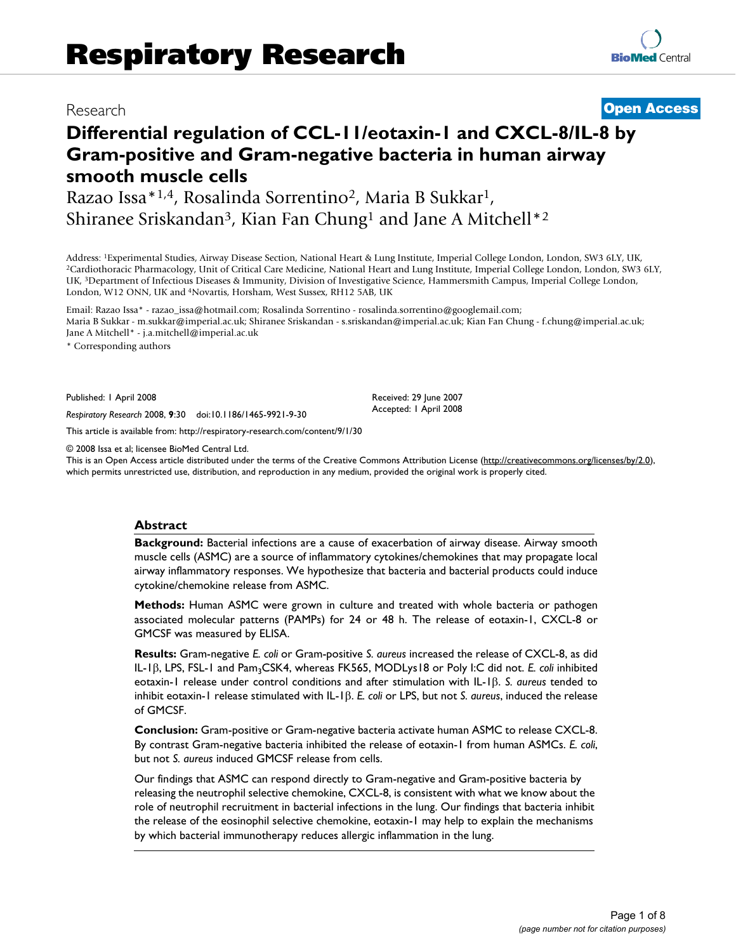# Research **[Open Access](http://www.biomedcentral.com/info/about/charter/)**

# **Differential regulation of CCL-11/eotaxin-1 and CXCL-8/IL-8 by Gram-positive and Gram-negative bacteria in human airway smooth muscle cells**

Razao Issa\*1,4, Rosalinda Sorrentino2, Maria B Sukkar1, Shiranee Sriskandan3, Kian Fan Chung1 and Jane A Mitchell\*2

Address: <sup>1</sup>Experimental Studies, Airway Disease Section, National Heart & Lung Institute, Imperial College London, London, SW3 6LY, UK,<br><sup>2</sup>Cardiothoracic Pharmacology, Unit of Critical Care Medicine, National Heart and Lu UK, 3Department of Infectious Diseases & Immunity, Division of Investigative Science, Hammersmith Campus, Imperial College London, London, W12 ONN, UK and 4Novartis, Horsham, West Sussex, RH12 5AB, UK

Email: Razao Issa\* - razao\_issa@hotmail.com; Rosalinda Sorrentino - rosalinda.sorrentino@googlemail.com; Maria B Sukkar - m.sukkar@imperial.ac.uk; Shiranee Sriskandan - s.sriskandan@imperial.ac.uk; Kian Fan Chung - f.chung@imperial.ac.uk; Jane A Mitchell\* - j.a.mitchell@imperial.ac.uk

\* Corresponding authors

Published: 1 April 2008

*Respiratory Research* 2008, **9**:30 doi:10.1186/1465-9921-9-30

[This article is available from: http://respiratory-research.com/content/9/1/30](http://respiratory-research.com/content/9/1/30)

© 2008 Issa et al; licensee BioMed Central Ltd.

This is an Open Access article distributed under the terms of the Creative Commons Attribution License [\(http://creativecommons.org/licenses/by/2.0\)](http://creativecommons.org/licenses/by/2.0), which permits unrestricted use, distribution, and reproduction in any medium, provided the original work is properly cited.

Received: 29 June 2007 Accepted: 1 April 2008

#### **Abstract**

**Background:** Bacterial infections are a cause of exacerbation of airway disease. Airway smooth muscle cells (ASMC) are a source of inflammatory cytokines/chemokines that may propagate local airway inflammatory responses. We hypothesize that bacteria and bacterial products could induce cytokine/chemokine release from ASMC.

**Methods:** Human ASMC were grown in culture and treated with whole bacteria or pathogen associated molecular patterns (PAMPs) for 24 or 48 h. The release of eotaxin-1, CXCL-8 or GMCSF was measured by ELISA.

**Results:** Gram-negative *E. coli* or Gram-positive *S. aureus* increased the release of CXCL-8, as did IL-1β, LPS, FSL-1 and Pam<sub>3</sub>CSK4, whereas FK565, MODLys18 or Poly I:C did not. *E. coli* inhibited eotaxin-1 release under control conditions and after stimulation with IL-1β. *S. aureus* tended to inhibit eotaxin-1 release stimulated with IL-1β. *E. coli* or LPS, but not *S. aureus*, induced the release of GMCSF.

**Conclusion:** Gram-positive or Gram-negative bacteria activate human ASMC to release CXCL-8. By contrast Gram-negative bacteria inhibited the release of eotaxin-1 from human ASMCs. *E. coli*, but not *S. aureus* induced GMCSF release from cells.

Our findings that ASMC can respond directly to Gram-negative and Gram-positive bacteria by releasing the neutrophil selective chemokine, CXCL-8, is consistent with what we know about the role of neutrophil recruitment in bacterial infections in the lung. Our findings that bacteria inhibit the release of the eosinophil selective chemokine, eotaxin-1 may help to explain the mechanisms by which bacterial immunotherapy reduces allergic inflammation in the lung.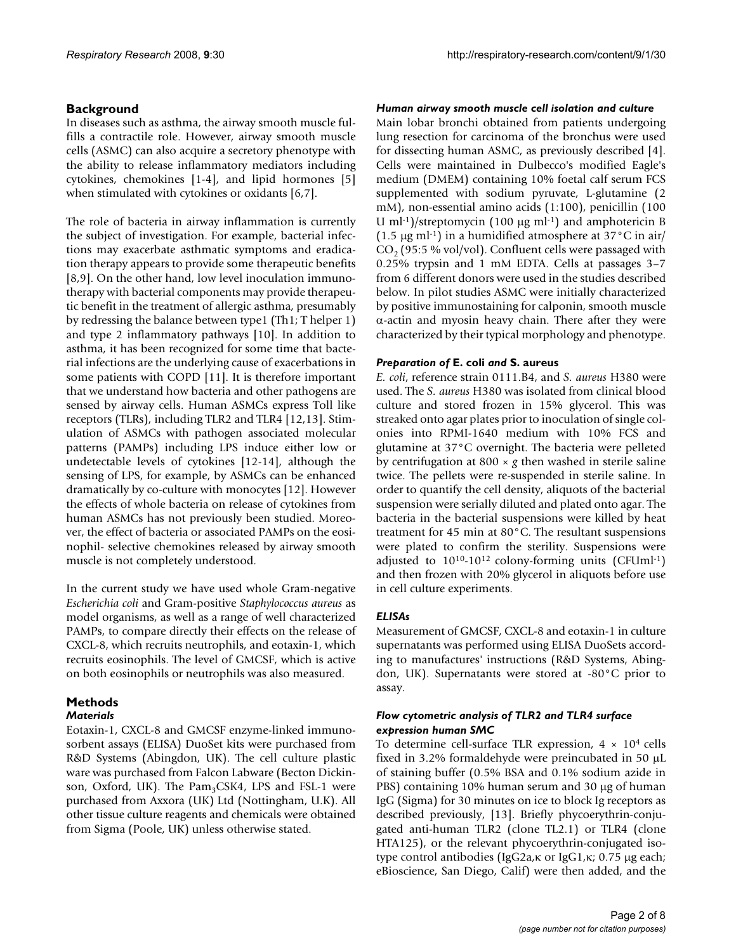### **Background**

In diseases such as asthma, the airway smooth muscle fulfills a contractile role. However, airway smooth muscle cells (ASMC) can also acquire a secretory phenotype with the ability to release inflammatory mediators including cytokines, chemokines [1-4], and lipid hormones [5] when stimulated with cytokines or oxidants [6,7].

The role of bacteria in airway inflammation is currently the subject of investigation. For example, bacterial infections may exacerbate asthmatic symptoms and eradication therapy appears to provide some therapeutic benefits [8,9]. On the other hand, low level inoculation immunotherapy with bacterial components may provide therapeutic benefit in the treatment of allergic asthma, presumably by redressing the balance between type1 (Th1; T helper 1) and type 2 inflammatory pathways [10]. In addition to asthma, it has been recognized for some time that bacterial infections are the underlying cause of exacerbations in some patients with COPD [11]. It is therefore important that we understand how bacteria and other pathogens are sensed by airway cells. Human ASMCs express Toll like receptors (TLRs), including TLR2 and TLR4 [12,13]. Stimulation of ASMCs with pathogen associated molecular patterns (PAMPs) including LPS induce either low or undetectable levels of cytokines [12-14], although the sensing of LPS, for example, by ASMCs can be enhanced dramatically by co-culture with monocytes [12]. However the effects of whole bacteria on release of cytokines from human ASMCs has not previously been studied. Moreover, the effect of bacteria or associated PAMPs on the eosinophil- selective chemokines released by airway smooth muscle is not completely understood.

In the current study we have used whole Gram-negative *Escherichia coli* and Gram-positive *Staphylococcus aureus* as model organisms, as well as a range of well characterized PAMPs, to compare directly their effects on the release of CXCL-8, which recruits neutrophils, and eotaxin-1, which recruits eosinophils. The level of GMCSF, which is active on both eosinophils or neutrophils was also measured.

## **Methods**

#### *Materials*

Eotaxin-1, CXCL-8 and GMCSF enzyme-linked immunosorbent assays (ELISA) DuoSet kits were purchased from R&D Systems (Abingdon, UK). The cell culture plastic ware was purchased from Falcon Labware (Becton Dickinson, Oxford, UK). The  $Pam_3CSK4$ , LPS and FSL-1 were purchased from Axxora (UK) Ltd (Nottingham, U.K). All other tissue culture reagents and chemicals were obtained from Sigma (Poole, UK) unless otherwise stated.

#### *Human airway smooth muscle cell isolation and culture*

Main lobar bronchi obtained from patients undergoing lung resection for carcinoma of the bronchus were used for dissecting human ASMC, as previously described [4]. Cells were maintained in Dulbecco's modified Eagle's medium (DMEM) containing 10% foetal calf serum FCS supplemented with sodium pyruvate, L-glutamine (2 mM), non-essential amino acids (1:100), penicillin (100 U ml<sup>-1</sup>)/streptomycin (100  $\mu$ g ml<sup>-1</sup>) and amphotericin B (1.5  $\mu$ g ml·<sup>1</sup>) in a humidified atmosphere at 37°C in air/  $CO<sub>2</sub>$  (95:5 % vol/vol). Confluent cells were passaged with 0.25% trypsin and 1 mM EDTA. Cells at passages 3–7 from 6 different donors were used in the studies described below. In pilot studies ASMC were initially characterized by positive immunostaining for calponin, smooth muscle α-actin and myosin heavy chain. There after they were characterized by their typical morphology and phenotype.

#### *Preparation of* **E. coli** *and* **S. aureus**

*E. coli*, reference strain 0111.B4, and *S. aureus* H380 were used. The *S. aureus* H380 was isolated from clinical blood culture and stored frozen in 15% glycerol. This was streaked onto agar plates prior to inoculation of single colonies into RPMI-1640 medium with 10% FCS and glutamine at 37°C overnight. The bacteria were pelleted by centrifugation at 800 × *g* then washed in sterile saline twice. The pellets were re-suspended in sterile saline. In order to quantify the cell density, aliquots of the bacterial suspension were serially diluted and plated onto agar. The bacteria in the bacterial suspensions were killed by heat treatment for 45 min at 80°C. The resultant suspensions were plated to confirm the sterility. Suspensions were adjusted to  $10^{10} - 10^{12}$  colony-forming units (CFUml<sup>-1</sup>) and then frozen with 20% glycerol in aliquots before use in cell culture experiments.

#### *ELISAs*

Measurement of GMCSF, CXCL-8 and eotaxin-1 in culture supernatants was performed using ELISA DuoSets according to manufactures' instructions (R&D Systems, Abingdon, UK). Supernatants were stored at -80°C prior to assay.

#### *Flow cytometric analysis of TLR2 and TLR4 surface expression human SMC*

To determine cell-surface TLR expression,  $4 \times 10^4$  cells fixed in 3.2% formaldehyde were preincubated in 50 μL of staining buffer (0.5% BSA and 0.1% sodium azide in PBS) containing 10% human serum and 30 μg of human IgG (Sigma) for 30 minutes on ice to block Ig receptors as described previously, [13]. Briefly phycoerythrin-conjugated anti-human TLR2 (clone TL2.1) or TLR4 (clone HTA125), or the relevant phycoerythrin-conjugated isotype control antibodies (IgG2a,κ or IgG1,κ; 0.75 μg each; eBioscience, San Diego, Calif) were then added, and the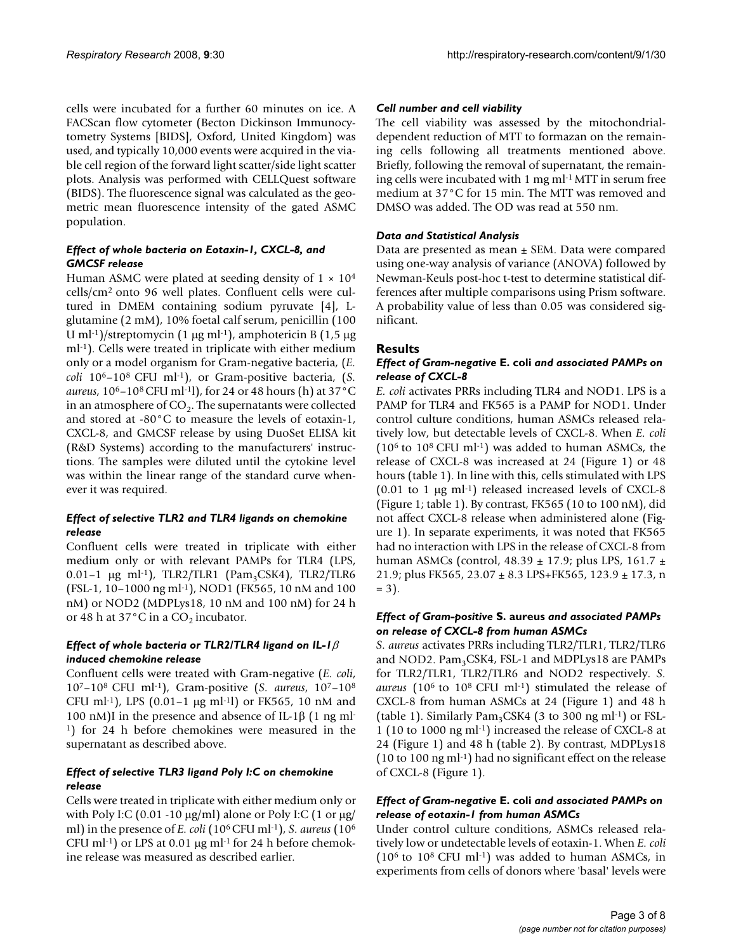cells were incubated for a further 60 minutes on ice. A FACScan flow cytometer (Becton Dickinson Immunocytometry Systems [BIDS], Oxford, United Kingdom) was used, and typically 10,000 events were acquired in the viable cell region of the forward light scatter/side light scatter plots. Analysis was performed with CELLQuest software (BIDS). The fluorescence signal was calculated as the geometric mean fluorescence intensity of the gated ASMC population.

#### *Effect of whole bacteria on Eotaxin-1, CXCL-8, and GMCSF release*

Human ASMC were plated at seeding density of  $1 \times 10^4$ cells/cm2 onto 96 well plates. Confluent cells were cultured in DMEM containing sodium pyruvate [4], Lglutamine (2 mM), 10% foetal calf serum, penicillin (100 U ml<sup>-1</sup>)/streptomycin (1  $\mu$ g ml<sup>-1</sup>), amphotericin B (1,5  $\mu$ g ml-1). Cells were treated in triplicate with either medium only or a model organism for Gram-negative bacteria, (*E. coli* 106–108 CFU ml-1), or Gram-positive bacteria, (*S. aureus*, 106–108 CFU ml-1l), for 24 or 48 hours (h) at 37°C in an atmosphere of  $CO<sub>2</sub>$ . The supernatants were collected and stored at -80°C to measure the levels of eotaxin-1, CXCL-8, and GMCSF release by using DuoSet ELISA kit (R&D Systems) according to the manufacturers' instructions. The samples were diluted until the cytokine level was within the linear range of the standard curve whenever it was required.

#### *Effect of selective TLR2 and TLR4 ligands on chemokine release*

Confluent cells were treated in triplicate with either medium only or with relevant PAMPs for TLR4 (LPS,  $0.01-1$  μg ml<sup>-1</sup>), TLR2/TLR1 (Pam<sub>3</sub>CSK4), TLR2/TLR6 (FSL-1, 10–1000 ng ml-1), NOD1 (FK565, 10 nM and 100 nM) or NOD2 (MDPLys18, 10 nM and 100 nM) for 24 h or 48 h at 37 $^{\circ}$ C in a CO<sub>2</sub> incubator.

#### *Effect of whole bacteria or TLR2/TLR4 ligand on IL-1*β *induced chemokine release*

Confluent cells were treated with Gram-negative (*E. coli*, 107–108 CFU ml-1), Gram-positive (*S. aureus*, 107–108 CFU ml-1), LPS (0.01–1 μg ml-1l) or FK565, 10 nM and 100 nM)I in the presence and absence of IL-1β (1 ng ml-1) for 24 h before chemokines were measured in the supernatant as described above.

#### *Effect of selective TLR3 ligand Poly I:C on chemokine release*

Cells were treated in triplicate with either medium only or with Poly I:C (0.01 -10  $\mu$ g/ml) alone or Poly I:C (1 or  $\mu$ g/ ml) in the presence of *E. coli* (106 CFU ml-1), *S. aureus* (106 CFU ml<sup>-1</sup>) or LPS at 0.01  $\mu$ g ml<sup>-1</sup> for 24 h before chemokine release was measured as described earlier.

#### *Cell number and cell viability*

The cell viability was assessed by the mitochondrialdependent reduction of MTT to formazan on the remaining cells following all treatments mentioned above. Briefly, following the removal of supernatant, the remaining cells were incubated with 1 mg ml-1 MTT in serum free medium at 37°C for 15 min. The MTT was removed and DMSO was added. The OD was read at 550 nm.

#### *Data and Statistical Analysis*

Data are presented as mean ± SEM. Data were compared using one-way analysis of variance (ANOVA) followed by Newman-Keuls post-hoc t-test to determine statistical differences after multiple comparisons using Prism software. A probability value of less than 0.05 was considered significant.

#### **Results**

#### *Effect of Gram-negative* **E. coli** *and associated PAMPs on release of CXCL-8*

*E. coli* activates PRRs including TLR4 and NOD1. LPS is a PAMP for TLR4 and FK565 is a PAMP for NOD1. Under control culture conditions, human ASMCs released relatively low, but detectable levels of CXCL-8. When *E. coli* (106 to 108 CFU ml-1) was added to human ASMCs, the release of CXCL-8 was increased at 24 (Figure 1) or 48 hours (table 1). In line with this, cells stimulated with LPS  $(0.01 \text{ to } 1 \text{ µg ml-1})$  released increased levels of CXCL-8 (Figure 1; table 1). By contrast, FK565 (10 to 100 nM), did not affect CXCL-8 release when administered alone (Figure 1). In separate experiments, it was noted that FK565 had no interaction with LPS in the release of CXCL-8 from human ASMCs (control,  $48.39 \pm 17.9$ ; plus LPS,  $161.7 \pm$ 21.9; plus FK565, 23.07 ± 8.3 LPS+FK565, 123.9 ± 17.3, n  $= 3$ .

#### *Effect of Gram-positive* **S. aureus** *and associated PAMPs on release of CXCL-8 from human ASMCs*

*S. aureus* activates PRRs including TLR2/TLR1, TLR2/TLR6 and NOD2. Pam<sub>3</sub>CSK4, FSL-1 and MDPLys18 are PAMPs for TLR2/TLR1, TLR2/TLR6 and NOD2 respectively. *S. aureus* (106 to 108 CFU ml-1) stimulated the release of CXCL-8 from human ASMCs at 24 (Figure 1) and 48 h (table 1). Similarly  $Pam_3CSK4$  (3 to 300 ng ml<sup>-1</sup>) or FSL-1 (10 to 1000 ng ml-1) increased the release of CXCL-8 at 24 (Figure 1) and 48 h (table 2). By contrast, MDPLys18 (10 to 100 ng ml-1) had no significant effect on the release of CXCL-8 (Figure 1).

#### *Effect of Gram-negative* **E. coli** *and associated PAMPs on release of eotaxin-1 from human ASMCs*

Under control culture conditions, ASMCs released relatively low or undetectable levels of eotaxin-1. When *E. coli*  $(10^6 \text{ to } 10^8 \text{ CFU ml-1})$  was added to human ASMCs, in experiments from cells of donors where 'basal' levels were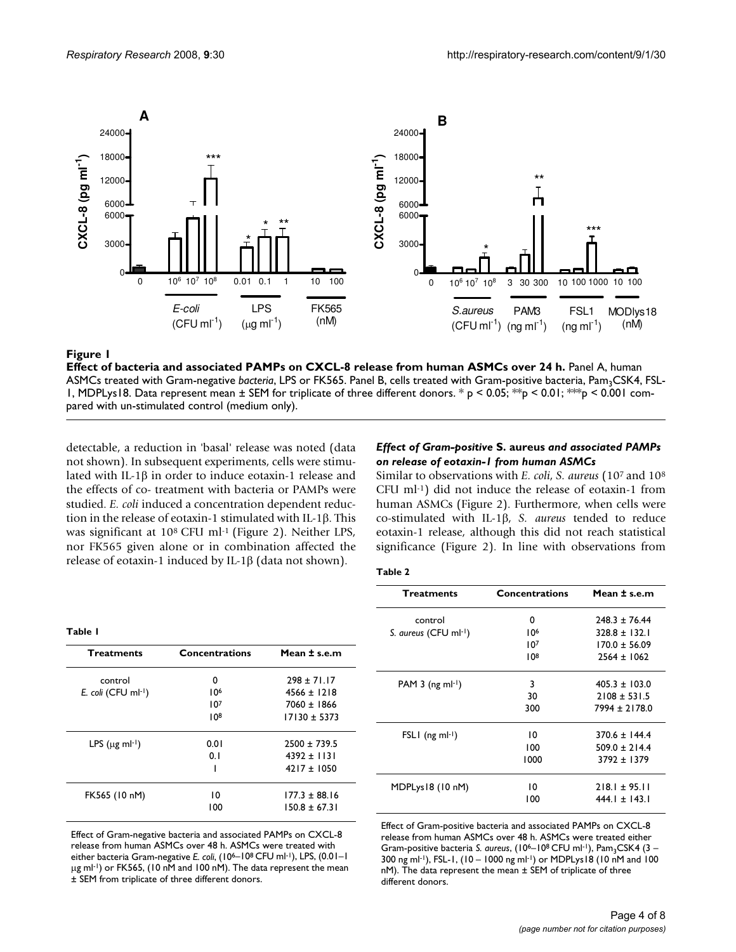

#### Effect of bacteria and associated PAMPs on **Figure 1** CXCL-8 release from human ASMCs over 24 h

**Effect of bacteria and associated PAMPs on CXCL-8 release from human ASMCs over 24 h.** Panel A, human ASMCs treated with Gram-negative bacteria, LPS or FK565. Panel B, cells treated with Gram-positive bacteria, Pam<sub>3</sub>CSK4, FSL-1, MDPLys18. Data represent mean  $\pm$  SEM for triplicate of three different donors. \* p < 0.05; \*\*p < 0.01; \*\*p < 0.001 compared with un-stimulated control (medium only).

detectable, a reduction in 'basal' release was noted (data not shown). In subsequent experiments, cells were stimulated with IL-1β in order to induce eotaxin-1 release and the effects of co- treatment with bacteria or PAMPs were studied. *E. coli* induced a concentration dependent reduction in the release of eotaxin-1 stimulated with IL-1β. This was significant at 10<sup>8</sup> CFU ml<sup>-1</sup> (Figure 2). Neither LPS, nor FK565 given alone or in combination affected the release of eotaxin-1 induced by IL-1β (data not shown).

#### *Effect of Gram-positive* **S. aureus** *and associated PAMPs on release of eotaxin-1 from human ASMCs*

Similar to observations with *E. coli*, *S. aureus* (107 and 108 CFU ml-1) did not induce the release of eotaxin-1 from human ASMCs (Figure 2). Furthermore, when cells were co-stimulated with IL-1β, *S. aureus* tended to reduce eotaxin-1 release, although this did not reach statistical significance (Figure 2). In line with observations from

| <b>Treatments</b>                | <b>Concentrations</b> | Mean $\pm$ s.e.m  |
|----------------------------------|-----------------------|-------------------|
| control                          | 0                     | $298 \pm 71.17$   |
| E. coli (CFU ml-1)               | 10 <sup>6</sup>       | $4566 + 1218$     |
|                                  | 107                   | 7060 ± 1866       |
|                                  | 108                   | $17130 \pm 5373$  |
| LPS ( $\mu$ g ml <sup>-1</sup> ) | 0.01                  | $2500 + 739.5$    |
|                                  | 0.1                   | $4392 \pm 1131$   |
|                                  | ı                     | $4217 \pm 1050$   |
| FK565 (10 nM)                    | 10                    | $177.3 + 88.16$   |
|                                  | 100                   | $150.8 \pm 67.31$ |

Effect of Gram-negative bacteria and associated PAMPs on CXCL-8 release from human ASMCs over 48 h. ASMCs were treated with either bacteria Gram-negative *E. coli*, (10<sup>6</sup>-10<sup>8</sup> CFU ml<sup>-1</sup>), LPS, (0.01-1 μg ml-1) or FK565, (10 nM and 100 nM). The data represent the mean ± SEM from triplicate of three different donors.

| <b>Treatments</b>              | <b>Concentrations</b> | Mean ± s.e.m      |
|--------------------------------|-----------------------|-------------------|
| control                        | 0                     | $248.3 \pm 76.44$ |
| S. aureus (CFU ml-1)           | 106                   | $328.8 + 132.1$   |
|                                | 107                   | $170.0 + 56.09$   |
|                                | 108                   | $2564 \pm 1062$   |
| PAM $3$ (ng ml <sup>-1</sup> ) | 3                     | $405.3 \pm 103.0$ |
|                                | 30                    | $2108 \pm 531.5$  |
|                                | 300                   | 7994 ± 2178.0     |
| $FSLI$ (ng ml-1)               | 10                    | $370.6 \pm 144.4$ |
|                                | 100                   | $509.0 \pm 214.4$ |
|                                | 1000                  | $3792 + 1379$     |
| MDPLys18 (10 nM)               | 10                    | $218.1 \pm 95.11$ |
|                                | 100                   | $444.1 \pm 143.1$ |

Effect of Gram-positive bacteria and associated PAMPs on CXCL-8 release from human ASMCs over 48 h. ASMCs were treated either Gram-positive bacteria *S. aureus*, (10<sup>6</sup>-10<sup>8</sup> CFU ml<sup>-1</sup>), Pam<sub>3</sub>CSK4 (3 -300 ng ml-1), FSL-1, (10 – 1000 ng ml-1) or MDPLys18 (10 nM and 100 nM). The data represent the mean ± SEM of triplicate of three different donors.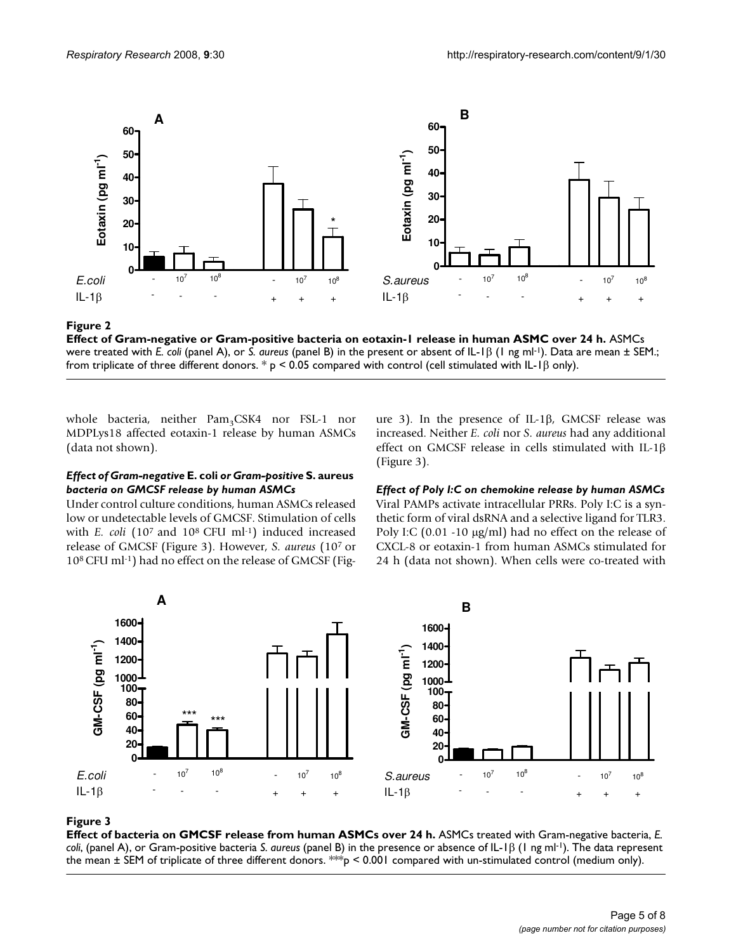

Effect of Gram-negative or Gram-positive bacteria on eotaxin-1 release in human ASMC over 24 h **Figure 2 Effect of Gram-negative or Gram-positive bacteria on eotaxin-1 release in human ASMC over 24 h.** ASMCs were treated with *E. coli* (panel A), or *S. aureus* (panel B) in the present or absent of IL-1β (1 ng ml-1). Data are mean ± SEM.; from triplicate of three different donors.  $* p < 0.05$  compared with control (cell stimulated with IL-1 $\beta$  only).

whole bacteria, neither Pam<sub>3</sub>CSK4 nor FSL-1 nor MDPLys18 affected eotaxin-1 release by human ASMCs (data not shown).

#### *Effect of Gram-negative* **E. coli** *or Gram-positive* **S. aureus**  *bacteria on GMCSF release by human ASMCs*

Under control culture conditions, human ASMCs released low or undetectable levels of GMCSF. Stimulation of cells with *E. coli* (10<sup>7</sup> and 10<sup>8</sup> CFU ml<sup>-1</sup>) induced increased release of GMCSF (Figure 3). However, *S. aureus* (107 or 108 CFU ml-1) had no effect on the release of GMCSF (Figure 3). In the presence of IL-1β, GMCSF release was increased. Neither *E. coli* nor *S. aureus* had any additional effect on GMCSF release in cells stimulated with IL-1β (Figure 3).

*Effect of Poly I:C on chemokine release by human ASMCs* Viral PAMPs activate intracellular PRRs. Poly I:C is a synthetic form of viral dsRNA and a selective ligand for TLR3. Poly I:C (0.01 -10 μg/ml) had no effect on the release of CXCL-8 or eotaxin-1 from human ASMCs stimulated for 24 h (data not shown). When cells were co-treated with



### **Figure 3**

**Effect of bacteria on GMCSF release from human ASMCs over 24 h.** ASMCs treated with Gram-negative bacteria, *E. coli*, (panel A), or Gram-positive bacteria *S. aureus* (panel B) in the presence or absence of IL-1β (1 ng ml-1). The data represent the mean  $\pm$  SEM of triplicate of three different donors. \*\*\*p < 0.001 compared with un-stimulated control (medium only).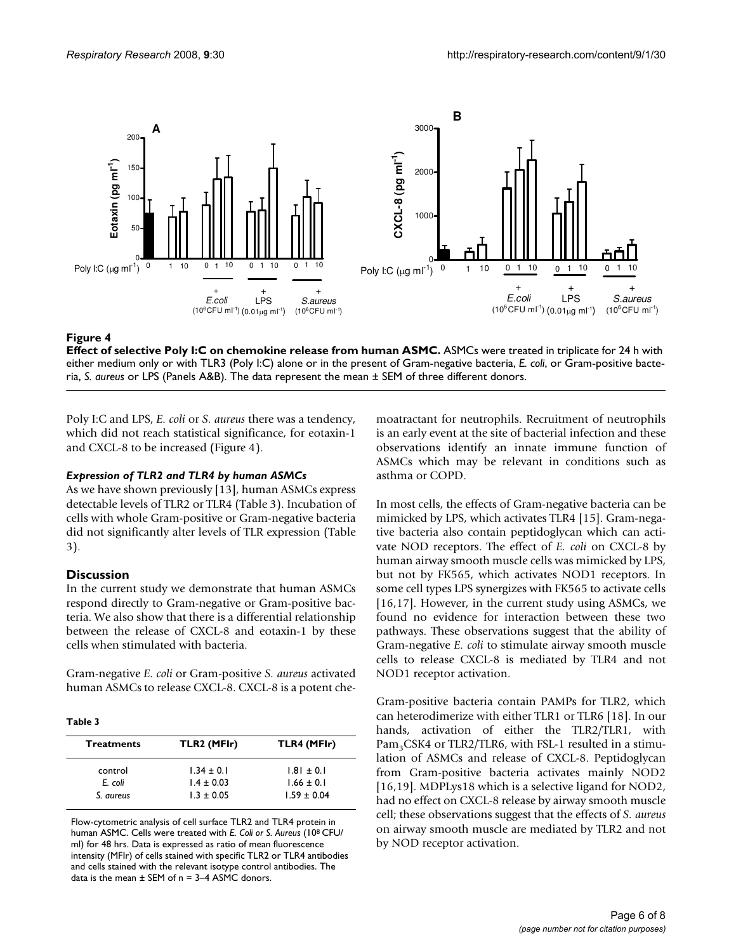

#### **Figure 4**

**Effect of selective Poly I:C on chemokine release from human ASMC.** ASMCs were treated in triplicate for 24 h with either medium only or with TLR3 (Poly I:C) alone or in the present of Gram-negative bacteria, *E. coli*, or Gram-positive bacteria, *S. aureus* or LPS (Panels A&B). The data represent the mean ± SEM of three different donors.

Poly I:C and LPS, *E. coli* or *S. aureus* there was a tendency, which did not reach statistical significance, for eotaxin-1 and CXCL-8 to be increased (Figure 4).

#### *Expression of TLR2 and TLR4 by human ASMCs*

As we have shown previously [13], human ASMCs express detectable levels of TLR2 or TLR4 (Table 3). Incubation of cells with whole Gram-positive or Gram-negative bacteria did not significantly alter levels of TLR expression (Table 3).

### **Discussion**

In the current study we demonstrate that human ASMCs respond directly to Gram-negative or Gram-positive bacteria. We also show that there is a differential relationship between the release of CXCL-8 and eotaxin-1 by these cells when stimulated with bacteria.

Gram-negative *E. coli* or Gram-positive *S. aureus* activated human ASMCs to release CXCL-8. CXCL-8 is a potent che-

#### **Table 3**

| <b>Treatments</b> | TLR2 (MFIr)    | TLR4 (MFIr)     |
|-------------------|----------------|-----------------|
| control           | $1.34 \pm 0.1$ | $1.81 \pm 0.1$  |
| E. coli           | $1.4 \pm 0.03$ | $1.66 \pm 0.1$  |
| S. aureus         | $1.3 \pm 0.05$ | $1.59 \pm 0.04$ |

Flow-cytometric analysis of cell surface TLR2 and TLR4 protein in human ASMC. Cells were treated with *E. Coli or S. Aureus* (108 CFU/ ml) for 48 hrs. Data is expressed as ratio of mean fluorescence intensity (MFIr) of cells stained with specific TLR2 or TLR4 antibodies and cells stained with the relevant isotype control antibodies. The data is the mean  $\pm$  SEM of n = 3-4 ASMC donors.

moatractant for neutrophils. Recruitment of neutrophils is an early event at the site of bacterial infection and these observations identify an innate immune function of ASMCs which may be relevant in conditions such as asthma or COPD.

In most cells, the effects of Gram-negative bacteria can be mimicked by LPS, which activates TLR4 [15]. Gram-negative bacteria also contain peptidoglycan which can activate NOD receptors. The effect of *E. coli* on CXCL-8 by human airway smooth muscle cells was mimicked by LPS, but not by FK565, which activates NOD1 receptors. In some cell types LPS synergizes with FK565 to activate cells [16,17]. However, in the current study using ASMCs, we found no evidence for interaction between these two pathways. These observations suggest that the ability of Gram-negative *E. coli* to stimulate airway smooth muscle cells to release CXCL-8 is mediated by TLR4 and not NOD1 receptor activation.

Gram-positive bacteria contain PAMPs for TLR2, which can heterodimerize with either TLR1 or TLR6 [18]. In our hands, activation of either the TLR2/TLR1, with  $Pam_3CSK4$  or TLR2/TLR6, with FSL-1 resulted in a stimulation of ASMCs and release of CXCL-8. Peptidoglycan from Gram-positive bacteria activates mainly NOD2 [16,19]. MDPLys18 which is a selective ligand for NOD2, had no effect on CXCL-8 release by airway smooth muscle cell; these observations suggest that the effects of *S. aureus* on airway smooth muscle are mediated by TLR2 and not by NOD receptor activation.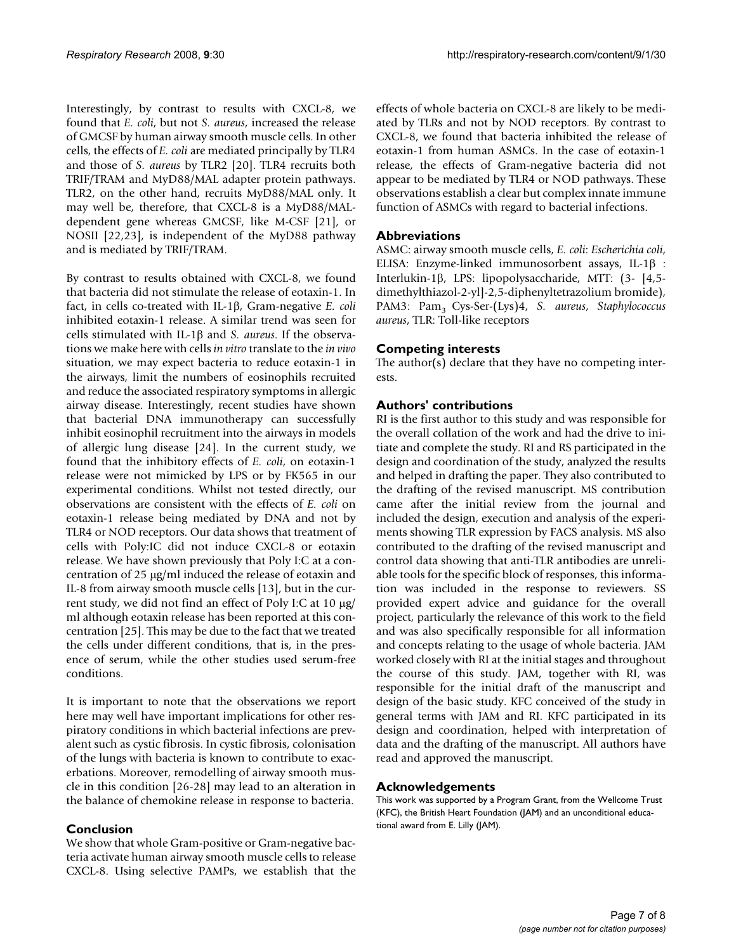Interestingly, by contrast to results with CXCL-8, we found that *E. coli*, but not *S. aureus*, increased the release of GMCSF by human airway smooth muscle cells. In other cells, the effects of *E. coli* are mediated principally by TLR4 and those of *S. aureus* by TLR2 [20]. TLR4 recruits both TRIF/TRAM and MyD88/MAL adapter protein pathways. TLR2, on the other hand, recruits MyD88/MAL only. It may well be, therefore, that CXCL-8 is a MyD88/MALdependent gene whereas GMCSF, like M-CSF [21], or NOSII [22,23], is independent of the MyD88 pathway and is mediated by TRIF/TRAM.

By contrast to results obtained with CXCL-8, we found that bacteria did not stimulate the release of eotaxin-1. In fact, in cells co-treated with IL-1β, Gram-negative *E. coli* inhibited eotaxin-1 release. A similar trend was seen for cells stimulated with IL-1β and *S. aureus*. If the observations we make here with cells *in vitro* translate to the *in vivo* situation, we may expect bacteria to reduce eotaxin-1 in the airways, limit the numbers of eosinophils recruited and reduce the associated respiratory symptoms in allergic airway disease. Interestingly, recent studies have shown that bacterial DNA immunotherapy can successfully inhibit eosinophil recruitment into the airways in models of allergic lung disease [24]. In the current study, we found that the inhibitory effects of *E. coli*, on eotaxin-1 release were not mimicked by LPS or by FK565 in our experimental conditions. Whilst not tested directly, our observations are consistent with the effects of *E. coli* on eotaxin-1 release being mediated by DNA and not by TLR4 or NOD receptors. Our data shows that treatment of cells with Poly:IC did not induce CXCL-8 or eotaxin release. We have shown previously that Poly I:C at a concentration of 25 μg/ml induced the release of eotaxin and IL-8 from airway smooth muscle cells [13], but in the current study, we did not find an effect of Poly I:C at 10 μg/ ml although eotaxin release has been reported at this concentration [25]. This may be due to the fact that we treated the cells under different conditions, that is, in the presence of serum, while the other studies used serum-free conditions.

It is important to note that the observations we report here may well have important implications for other respiratory conditions in which bacterial infections are prevalent such as cystic fibrosis. In cystic fibrosis, colonisation of the lungs with bacteria is known to contribute to exacerbations. Moreover, remodelling of airway smooth muscle in this condition [26-28] may lead to an alteration in the balance of chemokine release in response to bacteria.

#### **Conclusion**

We show that whole Gram-positive or Gram-negative bacteria activate human airway smooth muscle cells to release CXCL-8. Using selective PAMPs, we establish that the effects of whole bacteria on CXCL-8 are likely to be mediated by TLRs and not by NOD receptors. By contrast to CXCL-8, we found that bacteria inhibited the release of eotaxin-1 from human ASMCs. In the case of eotaxin-1 release, the effects of Gram-negative bacteria did not appear to be mediated by TLR4 or NOD pathways. These observations establish a clear but complex innate immune function of ASMCs with regard to bacterial infections.

#### **Abbreviations**

ASMC: airway smooth muscle cells, *E. coli*: *Escherichia coli*, ELISA: Enzyme-linked immunosorbent assays, IL-1β : Interlukin-1β, LPS: lipopolysaccharide, MTT: (3- [4,5 dimethylthiazol-2-yl]-2,5-diphenyltetrazolium bromide), PAM3: Pam<sub>3</sub> Cys-Ser-(Lys)4, *S. aureus*, *Staphylococcus aureus*, TLR: Toll-like receptors

#### **Competing interests**

The author(s) declare that they have no competing interests.

#### **Authors' contributions**

RI is the first author to this study and was responsible for the overall collation of the work and had the drive to initiate and complete the study. RI and RS participated in the design and coordination of the study, analyzed the results and helped in drafting the paper. They also contributed to the drafting of the revised manuscript. MS contribution came after the initial review from the journal and included the design, execution and analysis of the experiments showing TLR expression by FACS analysis. MS also contributed to the drafting of the revised manuscript and control data showing that anti-TLR antibodies are unreliable tools for the specific block of responses, this information was included in the response to reviewers. SS provided expert advice and guidance for the overall project, particularly the relevance of this work to the field and was also specifically responsible for all information and concepts relating to the usage of whole bacteria. JAM worked closely with RI at the initial stages and throughout the course of this study. JAM, together with RI, was responsible for the initial draft of the manuscript and design of the basic study. KFC conceived of the study in general terms with JAM and RI. KFC participated in its design and coordination, helped with interpretation of data and the drafting of the manuscript. All authors have read and approved the manuscript.

#### **Acknowledgements**

This work was supported by a Program Grant, from the Wellcome Trust (KFC), the British Heart Foundation (JAM) and an unconditional educational award from E. Lilly (JAM).